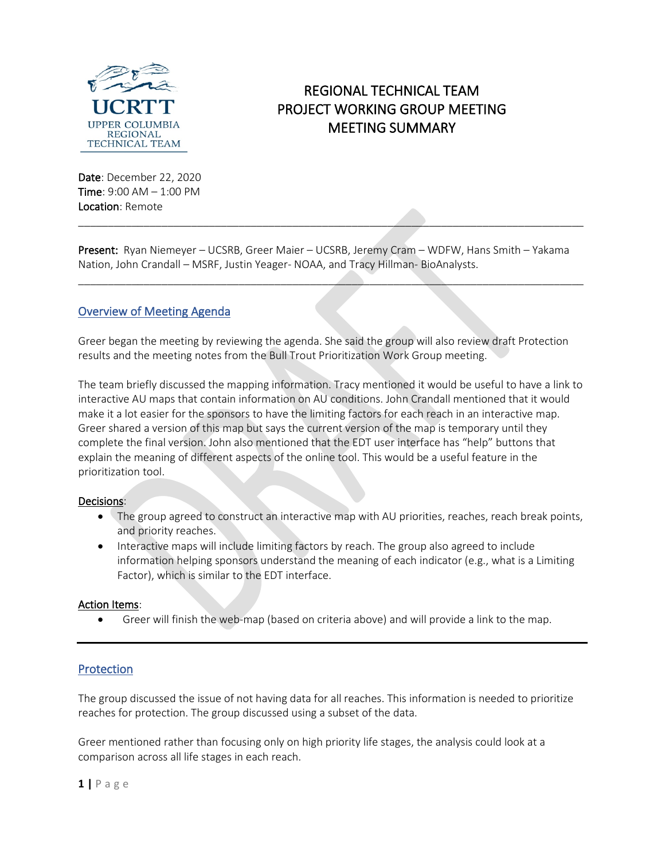

# REGIONAL TECHNICAL TEAM PROJECT WORKING GROUP MEETING MEETING SUMMARY

Date: December 22, 2020 Time: 9:00 AM – 1:00 PM Location: Remote

Present: Ryan Niemeyer – UCSRB, Greer Maier – UCSRB, Jeremy Cram – WDFW, Hans Smith – Yakama Nation, John Crandall – MSRF, Justin Yeager- NOAA, and Tracy Hillman- BioAnalysts.

 $\mathcal{L} = \{ \mathcal{L} \mid \mathcal{L} \text{ and } \mathcal{L} \text{ and } \mathcal{L} \text{ and } \mathcal{L} \text{ and } \mathcal{L} \text{ and } \mathcal{L} \text{ and } \mathcal{L} \text{ and } \mathcal{L} \text{ are the same.} \}$ 

\_\_\_\_\_\_\_\_\_\_\_\_\_\_\_\_\_\_\_\_\_\_\_\_\_\_\_\_\_\_\_\_\_\_\_\_\_\_\_\_\_\_\_\_\_\_\_\_\_\_\_\_\_\_\_\_\_\_\_\_\_\_\_\_\_\_\_\_\_\_\_\_\_\_\_\_\_\_\_\_\_\_\_\_\_

# Overview of Meeting Agenda

Greer began the meeting by reviewing the agenda. She said the group will also review draft Protection results and the meeting notes from the Bull Trout Prioritization Work Group meeting.

The team briefly discussed the mapping information. Tracy mentioned it would be useful to have a link to interactive AU maps that contain information on AU conditions. John Crandall mentioned that it would make it a lot easier for the sponsors to have the limiting factors for each reach in an interactive map. Greer shared a version of this map but says the current version of the map is temporary until they complete the final version. John also mentioned that the EDT user interface has "help" buttons that explain the meaning of different aspects of the online tool. This would be a useful feature in the prioritization tool.

#### Decisions:

- The group agreed to construct an interactive map with AU priorities, reaches, reach break points, and priority reaches.
- Interactive maps will include limiting factors by reach. The group also agreed to include information helping sponsors understand the meaning of each indicator (e.g., what is a Limiting Factor), which is similar to the EDT interface.

#### Action Items:

• Greer will finish the web-map (based on criteria above) and will provide a link to the map.

# Protection

The group discussed the issue of not having data for all reaches. This information is needed to prioritize reaches for protection. The group discussed using a subset of the data.

Greer mentioned rather than focusing only on high priority life stages, the analysis could look at a comparison across all life stages in each reach.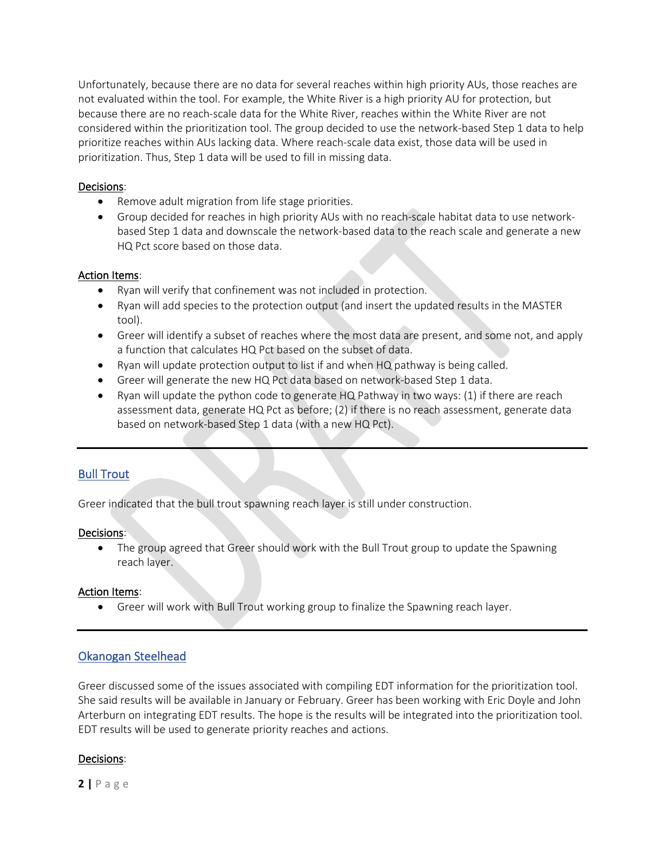Unfortunately, because there are no data for several reaches within high priority AUs, those reaches are not evaluated within the tool. For example, the White River is a high priority AU for protection, but because there are no reach-scale data for the White River, reaches within the White River are not considered within the prioritization tool. The group decided to use the network-based Step 1 data to help prioritize reaches within AUs lacking data. Where reach-scale data exist, those data will be used in prioritization. Thus, Step 1 data will be used to fill in missing data.

#### Decisions:

- Remove adult migration from life stage priorities.
- Group decided for reaches in high priority AUs with no reach-scale habitat data to use networkbased Step 1 data and downscale the network-based data to the reach scale and generate a new HQ Pct score based on those data.

#### Action Items:

- Ryan will verify that confinement was not included in protection.
- Ryan will add species to the protection output (and insert the updated results in the MASTER tool).
- Greer will identify a subset of reaches where the most data are present, and some not, and apply a function that calculates HQ Pct based on the subset of data.
- Ryan will update protection output to list if and when HQ pathway is being called.
- Greer will generate the new HQ Pct data based on network-based Step 1 data.
- Ryan will update the python code to generate  $HQ$  Pathway in two ways: (1) if there are reach assessment data, generate HQ Pct as before; (2) if there is no reach assessment, generate data based on network-based Step 1 data (with a new HQ Pct).

## Bull Trout

Greer indicated that the bull trout spawning reach layer is still under construction.

#### Decisions:

• The group agreed that Greer should work with the Bull Trout group to update the Spawning reach layer.

#### Action Items:

• Greer will work with Bull Trout working group to finalize the Spawning reach layer.

# Okanogan Steelhead

Greer discussed some of the issues associated with compiling EDT information for the prioritization tool. She said results will be available in January or February. Greer has been working with Eric Doyle and John Arterburn on integrating EDT results. The hope is the results will be integrated into the prioritization tool. EDT results will be used to generate priority reaches and actions.

## Decisions:

**2 |** Page